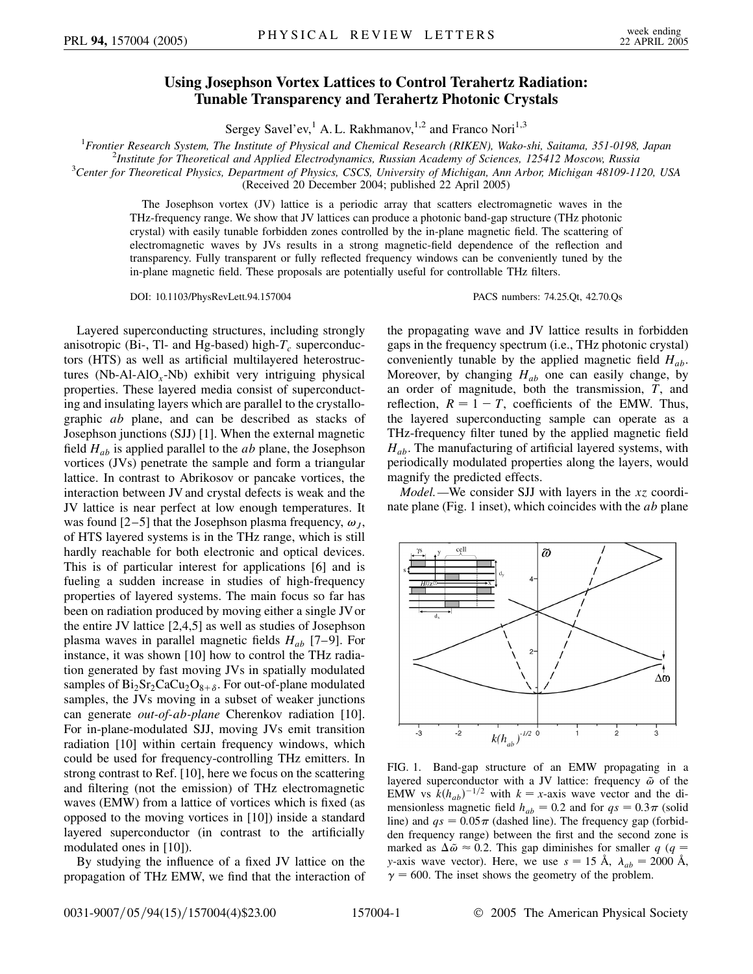## **Using Josephson Vortex Lattices to Control Terahertz Radiation: Tunable Transparency and Terahertz Photonic Crystals**

Sergey Savel'ev,<sup>1</sup> A. L. Rakhmanov,<sup>1,2</sup> and Franco Nori<sup>1,3</sup>

<sup>1</sup> Frontier Research System, The Institute of Physical and Chemical Research (RIKEN), Wako-shi, Saitama, 351-0198, Japan<br><sup>2</sup> Institute for Theoretical and Applied Electrodynamics, Pussian Academy of Sciences, 195412 Mosco

*Institute for Theoretical and Applied Electrodynamics, Russian Academy of Sciences, 125412 Moscow, Russia* <sup>3</sup>

*Center for Theoretical Physics, Department of Physics, CSCS, University of Michigan, Ann Arbor, Michigan 48109-1120, USA*

(Received 20 December 2004; published 22 April 2005)

The Josephson vortex (JV) lattice is a periodic array that scatters electromagnetic waves in the THz-frequency range. We show that JV lattices can produce a photonic band-gap structure (THz photonic crystal) with easily tunable forbidden zones controlled by the in-plane magnetic field. The scattering of electromagnetic waves by JVs results in a strong magnetic-field dependence of the reflection and transparency. Fully transparent or fully reflected frequency windows can be conveniently tuned by the in-plane magnetic field. These proposals are potentially useful for controllable THz filters.

DOI: 10.1103/PhysRevLett.94.157004 PACS numbers: 74.25.Qt, 42.70.Qs

Layered superconducting structures, including strongly anisotropic (Bi-, Tl- and Hg-based) high- $T_c$  superconductors (HTS) as well as artificial multilayered heterostructures (Nb-Al-AlO*x*-Nb) exhibit very intriguing physical properties. These layered media consist of superconducting and insulating layers which are parallel to the crystallographic *ab* plane, and can be described as stacks of Josephson junctions (SJJ) [1]. When the external magnetic field *Hab* is applied parallel to the *ab* plane, the Josephson vortices (JVs) penetrate the sample and form a triangular lattice. In contrast to Abrikosov or pancake vortices, the interaction between JV and crystal defects is weak and the JV lattice is near perfect at low enough temperatures. It was found  $[2-5]$  that the Josephson plasma frequency,  $\omega_I$ , of HTS layered systems is in the THz range, which is still hardly reachable for both electronic and optical devices. This is of particular interest for applications [6] and is fueling a sudden increase in studies of high-frequency properties of layered systems. The main focus so far has been on radiation produced by moving either a single JVor the entire JV lattice [2,4,5] as well as studies of Josephson plasma waves in parallel magnetic fields *Hab* [7–9]. For instance, it was shown [10] how to control the THz radiation generated by fast moving JVs in spatially modulated samples of  $Bi_2Sr_2CaCu_2O_{8+\delta}$ . For out-of-plane modulated samples, the JVs moving in a subset of weaker junctions can generate *out-of-ab-plane* Cherenkov radiation [10]. For in-plane-modulated SJJ, moving JVs emit transition radiation [10] within certain frequency windows, which could be used for frequency-controlling THz emitters. In strong contrast to Ref. [10], here we focus on the scattering and filtering (not the emission) of THz electromagnetic waves (EMW) from a lattice of vortices which is fixed (as opposed to the moving vortices in [10]) inside a standard layered superconductor (in contrast to the artificially modulated ones in [10]).

By studying the influence of a fixed JV lattice on the propagation of THz EMW, we find that the interaction of the propagating wave and JV lattice results in forbidden gaps in the frequency spectrum (i.e., THz photonic crystal) conveniently tunable by the applied magnetic field  $H_{ab}$ . Moreover, by changing  $H_{ab}$  one can easily change, by an order of magnitude, both the transmission, *T*, and reflection,  $R = 1 - T$ , coefficients of the EMW. Thus, the layered superconducting sample can operate as a THz-frequency filter tuned by the applied magnetic field *Hab*. The manufacturing of artificial layered systems, with periodically modulated properties along the layers, would magnify the predicted effects.

*Model.—*We consider SJJ with layers in the *xz* coordinate plane (Fig. 1 inset), which coincides with the *ab* plane



FIG. 1. Band-gap structure of an EMW propagating in a layered superconductor with a JV lattice: frequency  $\tilde{\omega}$  of the EMW vs  $k(h_{ab})^{-1/2}$  with  $k = x$ -axis wave vector and the dimensionless magnetic field  $h_{ab} = 0.2$  and for  $qs = 0.3\pi$  (solid line) and  $qs = 0.05\pi$  (dashed line). The frequency gap (forbidden frequency range) between the first and the second zone is marked as  $\Delta \tilde{\omega} \approx 0.2$ . This gap diminishes for smaller  $q$  ( $q =$ *y*-axis wave vector). Here, we use  $s = 15 \text{ Å}$ ,  $\lambda_{ab} = 2000 \text{ Å}$ ,  $\gamma$  = 600. The inset shows the geometry of the problem.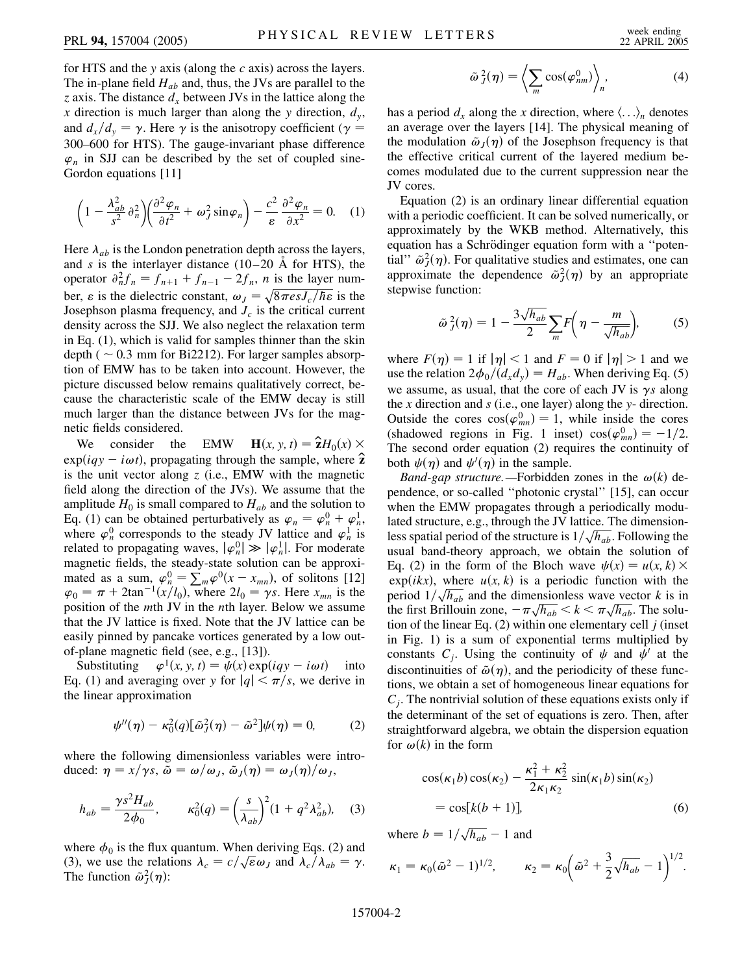for HTS and the *y* axis (along the *c* axis) across the layers. The in-plane field  $H_{ab}$  and, thus, the JVs are parallel to the *z* axis. The distance  $d_x$  between JVs in the lattice along the *x* direction is much larger than along the *y* direction, *dy*, and  $d_x/d_y = \gamma$ . Here  $\gamma$  is the anisotropy coefficient ( $\gamma =$ 300–600 for HTS). The gauge-invariant phase difference  $\varphi_n$  in SJJ can be described by the set of coupled sine-Gordon equations [11]

$$
\left(1 - \frac{\lambda_{ab}^2}{s^2} \partial_n^2\right) \left(\frac{\partial^2 \varphi_n}{\partial t^2} + \omega_j^2 \sin \varphi_n\right) - \frac{c^2}{\varepsilon} \frac{\partial^2 \varphi_n}{\partial x^2} = 0. \quad (1)
$$

Here  $\lambda_{ab}$  is the London penetration depth across the layers, and  $s$  is the interlayer distance  $(10-20 \text{ Å}$  for HTS), the operator  $\partial_n^2 f_n = f_{n+1} + f_{n-1} - 2f_n$ , *n* is the layer number,  $\varepsilon$  is the dielectric constant,  $\omega_J = \sqrt{8\pi \varepsilon s J_c/\hbar \varepsilon}$  is the Josephson plasma frequency, and  $J_c$  is the critical current density across the SJJ. We also neglect the relaxation term in Eq. (1), which is valid for samples thinner than the skin depth ( $\sim$  0.3 mm for Bi2212). For larger samples absorption of EMW has to be taken into account. However, the picture discussed below remains qualitatively correct, because the characteristic scale of the EMW decay is still much larger than the distance between JVs for the magnetic fields considered.

We consider the EMW  $\mathbf{H}(x, y, t) = \hat{\mathbf{z}}H_0(x) \times$  $\exp(iqy - i\omega t)$ , propagating through the sample, where  $\hat{\mathbf{z}}$ is the unit vector along *z* (i.e., EMW with the magnetic field along the direction of the JVs). We assume that the amplitude  $H_0$  is small compared to  $H_{ab}$  and the solution to Eq. (1) can be obtained perturbatively as  $\varphi_n = \varphi_n^0 + \varphi_n^1$ , where  $\varphi_n^0$  corresponds to the steady JV lattice and  $\varphi_n^1$  is related to propagating waves,  $|\varphi_n^0| \gg |\varphi_n^1|$ . For moderate magnetic fields, the steady-state solution can be approximated as a sum,  $\varphi_n^0 = \sum_m \varphi^0(x - x_{mn})$ , of solitons [12]  $\varphi_0 = \pi + 2\tan^{-1}(x/l_0)$ , where  $2l_0 = \gamma s$ . Here  $x_{mn}$  is the position of the *m*th JV in the *n*th layer. Below we assume that the JV lattice is fixed. Note that the JV lattice can be easily pinned by pancake vortices generated by a low outof-plane magnetic field (see, e.g., [13]).

Substituting  $\varphi^1(x, y, t) = \psi(x) \exp(iqy - i\omega t)$  into Eq. (1) and averaging over *y* for  $|q| < \pi/s$ , we derive in the linear approximation

$$
\psi''(\eta) - \kappa_0^2(q) [\tilde{\omega}_j^2(\eta) - \tilde{\omega}^2] \psi(\eta) = 0, \qquad (2)
$$

where the following dimensionless variables were introduced:  $\eta = x/\gamma s$ ,  $\tilde{\omega} = \omega/\omega_J$ ,  $\tilde{\omega}_J(\eta) = \omega_J(\eta)/\omega_J$ ,

$$
h_{ab} = \frac{\gamma s^2 H_{ab}}{2\phi_0}, \qquad \kappa_0^2(q) = \left(\frac{s}{\lambda_{ab}}\right)^2 (1 + q^2 \lambda_{ab}^2), \quad (3)
$$

where  $\phi_0$  is the flux quantum. When deriving Eqs. (2) and where  $\varphi_0$  is the flux quantum. when deriving Eqs. (2) and (3), we use the relations  $\lambda_c = c/\sqrt{\epsilon \omega_J}$  and  $\lambda_c/\lambda_{ab} = \gamma$ . The function  $\tilde{\omega}_J^2(\eta)$ :

$$
\tilde{\omega}_J^2(\eta) = \left\langle \sum_m \cos(\varphi_{nm}^0) \right\rangle_n, \tag{4}
$$

has a period  $d_x$  along the x direction, where  $\langle \ldots \rangle_n$  denotes an average over the layers [14]. The physical meaning of the modulation  $\tilde{\omega}_I(\eta)$  of the Josephson frequency is that the effective critical current of the layered medium becomes modulated due to the current suppression near the JV cores.

Equation (2) is an ordinary linear differential equation with a periodic coefficient. It can be solved numerically, or approximately by the WKB method. Alternatively, this equation has a Schrödinger equation form with a "potential"  $\tilde{\omega}_J^2(\eta)$ . For qualitative studies and estimates, one can approximate the dependence  $\tilde{\omega}_J^2(\eta)$  by an appropriate stepwise function:

$$
\tilde{\omega}_j^2(\eta) = 1 - \frac{3\sqrt{h_{ab}}}{2} \sum_m F\left(\eta - \frac{m}{\sqrt{h_{ab}}}\right),\tag{5}
$$

where  $F(\eta) = 1$  if  $|\eta| < 1$  and  $F = 0$  if  $|\eta| > 1$  and we use the relation  $2\phi_0/(d_x d_y) = H_{ab}$ . When deriving Eq. (5) we assume, as usual, that the core of each JV is  $\gamma s$  along the *x* direction and *s* (i.e., one layer) along the *y*- direction. Outside the cores  $cos(\varphi_{mn}^0) = 1$ , while inside the cores (shadowed regions in Fig. 1 inset)  $cos(\varphi_{mn}^0) = -1/2$ . The second order equation (2) requires the continuity of both  $\psi(\eta)$  and  $\psi'(\eta)$  in the sample.

*Band-gap structure.*—Forbidden zones in the  $\omega(k)$  dependence, or so-called ''photonic crystal'' [15], can occur when the EMW propagates through a periodically modulated structure, e.g., through the JV lattice. The dimensionlated structure, e.g., through the JV lattice. The dimension-<br>less spatial period of the structure is  $1/\sqrt{h_{ab}}$ . Following the usual band-theory approach, we obtain the solution of Eq. (2) in the form of the Bloch wave  $\psi(x) = u(x, k) \times$  $exp(ikx)$ , where  $u(x, k)$  is a periodic function with the  $\exp(i k x)$ , where  $u(x, k)$  is a periodic function with the period  $1/\sqrt{h_{ab}}$  and the dimensionless wave vector *k* is in period  $1/\sqrt{n_{ab}}$  and the dimensionless wave vector  $\kappa$  is in the first Brillouin zone,  $-\pi\sqrt{h_{ab}} < k < \pi\sqrt{h_{ab}}$ . The solution of the linear Eq. (2) within one elementary cell *j* (inset in Fig. 1) is a sum of exponential terms multiplied by constants  $C_i$ . Using the continuity of  $\psi$  and  $\psi'$  at the discontinuities of  $\tilde{\omega}(\eta)$ , and the periodicity of these functions, we obtain a set of homogeneous linear equations for *Cj*. The nontrivial solution of these equations exists only if the determinant of the set of equations is zero. Then, after straightforward algebra, we obtain the dispersion equation for  $\omega(k)$  in the form

$$
\cos(\kappa_1 b)\cos(\kappa_2) - \frac{\kappa_1^2 + \kappa_2^2}{2\kappa_1 \kappa_2} \sin(\kappa_1 b)\sin(\kappa_2)
$$
  
=  $\cos[k(b+1)],$  (6)

where  $b = 1/\sqrt{h_{ab}} - 1$  and

$$
\kappa_1 = \kappa_0 (\tilde{\omega}^2 - 1)^{1/2}, \qquad \kappa_2 = \kappa_0 \left( \tilde{\omega}^2 + \frac{3}{2} \sqrt{h_{ab}} - 1 \right)^{1/2}.
$$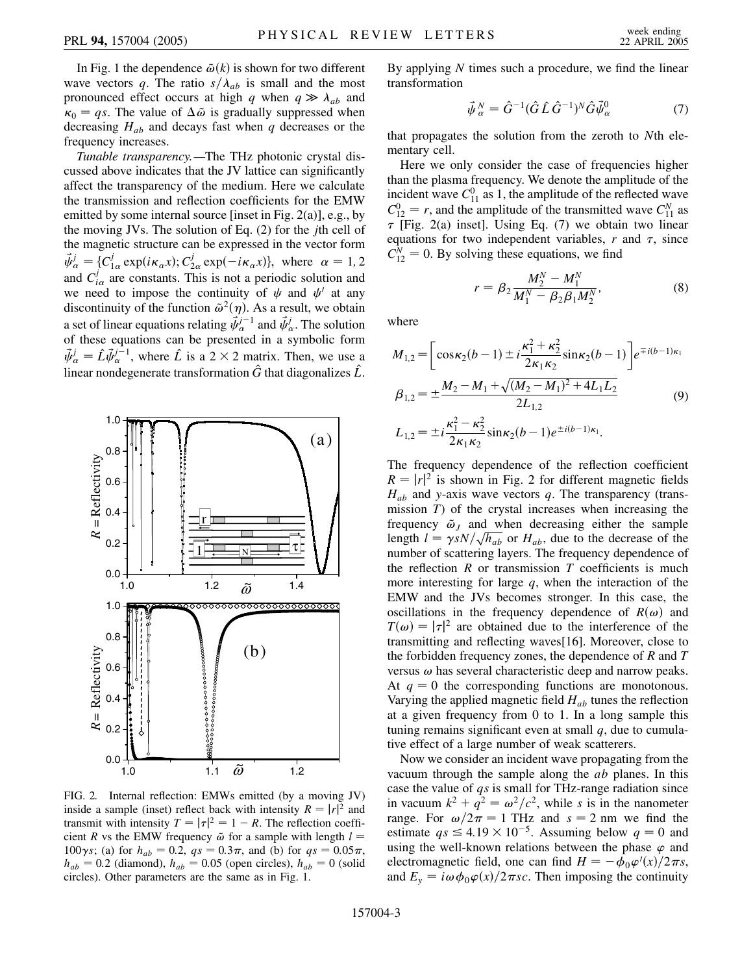In Fig. 1 the dependence  $\tilde{\omega}(k)$  is shown for two different wave vectors *q*. The ratio  $s/\lambda_{ab}$  is small and the most pronounced effect occurs at high *q* when  $q \gg \lambda_{ab}$  and  $\kappa_0 = qs$ . The value of  $\Delta \tilde{\omega}$  is gradually suppressed when decreasing *Hab* and decays fast when *q* decreases or the frequency increases.

*Tunable transparency.—*The THz photonic crystal discussed above indicates that the JV lattice can significantly affect the transparency of the medium. Here we calculate the transmission and reflection coefficients for the EMW emitted by some internal source [inset in Fig. 2(a)], e.g., by the moving JVs. The solution of Eq. (2) for the *j*th cell of the magnetic structure can be expressed in the vector form  $\vec{\psi}_{\alpha}^{j} = \{C_{1\alpha}^{j} \exp(i\kappa_{\alpha}x); C_{2\alpha}^{j} \exp(-i\kappa_{\alpha}x)\}, \text{ where } \alpha = 1, 2$ and  $C_{i\alpha}^j$  are constants. This is not a periodic solution and we need to impose the continuity of  $\psi$  and  $\psi'$  at any discontinuity of the function  $\tilde{\omega}^2(\eta)$ . As a result, we obtain a set of linear equations relating  $\vec{\psi}_{\alpha}^{j-1}$  and  $\vec{\psi}_{\alpha}^{j}$ . The solution of these equations can be presented in a symbolic form  $\vec{\psi}_{\alpha}^{j} = \hat{L} \vec{\psi}_{\alpha}^{j-1}$ , where  $\hat{L}$  is a 2 × 2 matrix. Then, we use a linear nondegenerate transformation  $\hat{G}$  that diagonalizes  $\hat{L}$ .



FIG. 2. Internal reflection: EMWs emitted (by a moving JV) inside a sample (inset) reflect back with intensity  $R = |r|^2$  and transmit with intensity  $T = |\tau|^2 = 1 - R$ . The reflection coefficient *R* vs the EMW frequency  $\tilde{\omega}$  for a sample with length  $l =$ 100 $\gamma$ *s*; (a) for  $h_{ab} = 0.2$ ,  $qs = 0.3\pi$ , and (b) for  $qs = 0.05\pi$ ,  $h_{ab} = 0.2$  (diamond),  $h_{ab} = 0.05$  (open circles),  $h_{ab} = 0$  (solid circles). Other parameters are the same as in Fig. 1.

By applying *N* times such a procedure, we find the linear transformation

$$
\vec{\psi}_{\alpha}^{N} = \hat{G}^{-1} (\hat{G} \hat{L} \hat{G}^{-1})^{N} \hat{G} \vec{\psi}_{\alpha}^{0}
$$
 (7)

that propagates the solution from the zeroth to *N*th elementary cell.

Here we only consider the case of frequencies higher than the plasma frequency. We denote the amplitude of the incident wave  $C_{11}^0$  as 1, the amplitude of the reflected wave  $C_{12}^0 = r$ , and the amplitude of the transmitted wave  $C_{11}^N$  as  $\tau$  [Fig. 2(a) inset]. Using Eq. (7) we obtain two linear equations for two independent variables,  $r$  and  $\tau$ , since  $C_{12}^N = 0$ . By solving these equations, we find

$$
r = \beta_2 \frac{M_2^N - M_1^N}{M_1^N - \beta_2 \beta_1 M_2^N},
$$
\n(8)

where

$$
M_{1,2} = \left[ \cos \kappa_2 (b-1) \pm i \frac{\kappa_1^2 + \kappa_2^2}{2\kappa_1 \kappa_2} \sin \kappa_2 (b-1) \right] e^{\mp i(b-1)\kappa_1}
$$
  
\n
$$
\beta_{1,2} = \pm \frac{M_2 - M_1 + \sqrt{(M_2 - M_1)^2 + 4L_1L_2}}{2L_{1,2}}
$$
  
\n
$$
L_{1,2} = \pm i \frac{\kappa_1^2 - \kappa_2^2}{2\kappa_1 \kappa_2} \sin \kappa_2 (b-1) e^{\pm i(b-1)\kappa_1}.
$$
\n(9)

The frequency dependence of the reflection coefficient  $R = |r|^2$  is shown in Fig. 2 for different magnetic fields  $H_{ab}$  and *y*-axis wave vectors *q*. The transparency (transmission *T*) of the crystal increases when increasing the frequency  $\tilde{\omega}_J$  and when decreasing either the sample if its *l* =  $\gamma sN/\sqrt{h_{ab}}$  or *H<sub>ab</sub>*, due to the decrease of the number of scattering layers. The frequency dependence of the reflection  $R$  or transmission  $T$  coefficients is much more interesting for large *q*, when the interaction of the EMW and the JVs becomes stronger. In this case, the oscillations in the frequency dependence of  $R(\omega)$  and  $T(\omega) = |\tau|^2$  are obtained due to the interference of the transmitting and reflecting waves[16]. Moreover, close to the forbidden frequency zones, the dependence of *R* and *T* versus  $\omega$  has several characteristic deep and narrow peaks. At  $q = 0$  the corresponding functions are monotonous. Varying the applied magnetic field *Hab* tunes the reflection at a given frequency from 0 to 1. In a long sample this tuning remains significant even at small *q*, due to cumulative effect of a large number of weak scatterers.

Now we consider an incident wave propagating from the vacuum through the sample along the *ab* planes. In this case the value of *qs* is small for THz-range radiation since in vacuum  $k^2 + q^2 = \omega^2/c^2$ , while *s* is in the nanometer range. For  $\omega/2\pi = 1$  THz and  $s = 2$  nm we find the estimate  $qs \leq 4.19 \times 10^{-5}$ . Assuming below  $q = 0$  and using the well-known relations between the phase  $\varphi$  and electromagnetic field, one can find  $H = -\phi_0 \varphi'(x)/2\pi s$ , and  $E_y = i\omega \phi_0 \varphi(x)/2\pi sc$ . Then imposing the continuity